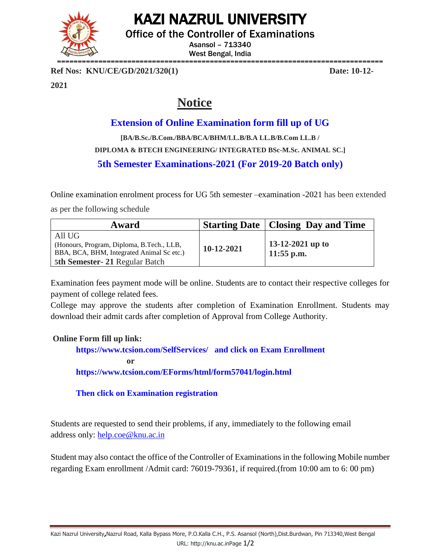KAZI NAZRUL UNIVERSITY



Office of the Controller of Examinations

Asansol – 713340 West Bengal, India

**Ref Nos: KNU/CE/GD/2021/320(1) Date: 10-12-**

**2021**

## **Notice**

## **Extension of Online Examination form fill up of UG**

**[BA/B.Sc./B.Com./BBA/BCA/BHM/LL.B/B.A LL.B/B.Com LL.B / DIPLOMA & BTECH ENGINEERING/ INTEGRATED BSc-M.Sc. ANIMAL SC.] 5th Semester Examinations-2021 (For 2019-20 Batch only)**

Online examination enrolment process for UG 5th semester –examination -2021 has been extended

as per the following schedule

| Award                                                                                                                             |              | <b>Starting Date   Closing Day and Time</b> |
|-----------------------------------------------------------------------------------------------------------------------------------|--------------|---------------------------------------------|
| All UG<br>(Honours, Program, Diploma, B.Tech., LLB,<br>BBA, BCA, BHM, Integrated Animal Sc etc.)<br>5th Semester-21 Regular Batch | $10-12-2021$ | 13-12-2021 up to<br>$11:55$ p.m.            |

Examination fees payment mode will be online. Students are to contact their respective colleges for payment of college related fees.

College may approve the students after completion of Examination Enrollment. Students may download their admit cards after completion of Approval from College Authority.

## **Online Form fill up link:**

**<https://www.tcsion.com/SelfServices/>and click on Exam Enrollment or <https://www.tcsion.com/EForms/html/form57041/login.html>**

**Then click on Examination registration**

Students are requested to send their problems, if any, immediately to the following email address only: [help.coe@knu.ac.in](mailto:help.coe@knu.ac.in)

Student may also contact the office of the Controller of Examinations in the following Mobile number regarding Exam enrollment /Admit card: 76019-79361, if required.(from 10:00 am to 6: 00 pm)